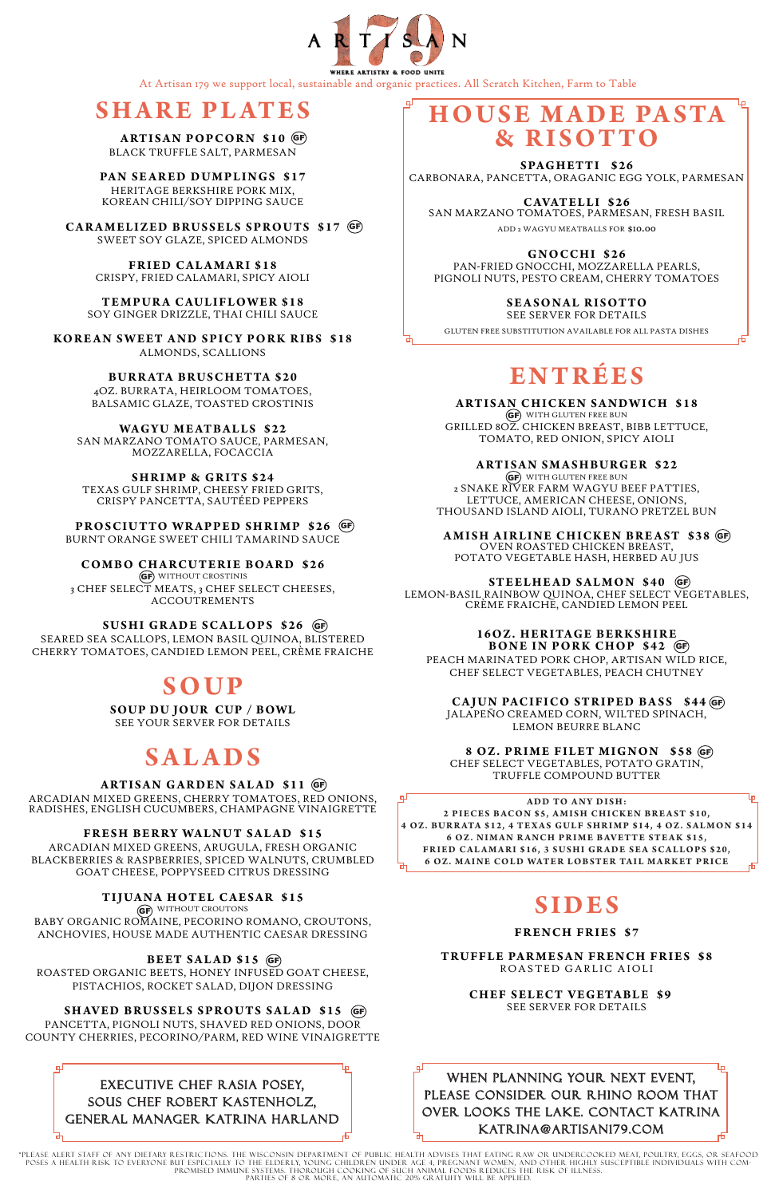# **HOUSE MADE PASTA & RISOTTO**

SPAGHETTI \$26 CARBONARA, PANCETTA, ORAGANIC EGG YOLK, PARMESAN

**CAVATELLI \$26** SAN MARZANO TOMATOES, PARMESAN, FRESH BASIL

ADD 2 WAGYU MEATBALLS FOR \$10.00

**GNOCCHI \$26**

PAN-FRIED GNOCCHI, MOZZARELLA PEARLS, PIGNOLI NUTS, PESTO CREAM, CHERRY TOMATOES

**S E A S O N A L R I S OT TO** 

SEE SERVER FOR DETAILS

GF) WITH GLUTEN FREE BUN 2 SNAKE RIVER FARM WAGYU BEEF PATTIES, LETTUCE, AMERICAN CHEESE, ONIONS, THOUSAND ISLAND AIOLI, TURANO PRETZEL BUN

GLUTEN FREE SUBSTITUTION AVAILABLE FOR ALL PASTA DISHES

# **ENTRÉE S**

**ARTISAN CHICKEN SANDWICH \$18** GF) WITH GLUTEN FREE BUN GRILLED 8OZ. CHICKEN BREAST, BIBB LETTUCE, TOMATO, RED ONION, SPICY AIOLI

**ARTISAN SMASHBURGER \$22**

**4 OZ. BUR R ATA \$12, 4 TE X A S GULF SHR I MP \$14, 4 OZ. SAL MON \$14 6 OZ. NIMAN RANCH PRIME BAVETTE STEAK \$15, FRIED CALAMARI \$16, 3 SUSHI GRADE SEA SCALLOPS \$20, 6 OZ. MAINE COLD WATER LOBSTER TAIL MARKET PRICE** 

**AMISH AIRLINE CHICKEN BREAST \$38** GF OVEN ROASTED CHICKEN BREAST,

POTATO VEGETABLE HASH, HERBED AU JUS

LEMON-BASIL RAINBOW QUINOA, CHEF SELECT VEGETABLES, CRÈME FRAICHE, CANDIED LEMON PEEL

PAN SEARED DUMPLINGS \$17 HERITAGE BERKSHIRE PORK MIX, KOREAN CHILI/SOY DIPPING SAUCE

> PEACH MARINATED PORK CHOP, ARTISAN WILD RICE, CHEF SELECT VEGETABLES, PEACH CHUTNEY

## CAJUN PACIFICO STRIPED BASS \$44 GF

JALAPEÑO CREAMED CORN, WILTED SPINACH, LEMON BEURRE BLANC

CHEF SELECT VEGETABLES, POTATO GRATIN, TRUFFLE COMPOUND BUTTER

**ADD TO ANY DISH:** 2 PIECES BACON \$5, AMISH CHICKEN BREAST \$10, ہا

GF) WITHOUT CROSTINIS 3 CHEF SELECT MEATS, 3 CHEF SELECT CHEESES, ACCOUTREMENTS

GF) WITHOUT CROUTONS BABY ORGANIC ROMAINE, PECORINO ROMANO, CROUTONS, ANCHOVIES, HOUSE MADE AUTHENTIC CAESAR DRESSING



**FRENCH FRIES \$7**

#### **TRUFFLE PAR MESAN FRENCH FRIES \$8** ROASTED GARLIC AIOLI

#### **CHEF SELECT VEGETABLE \$9** SEE SERVER FOR DETAILS

## **SHARE PL ATES**

**ARTISAN POPCORN \$10** GF BLACK TRUFFLE SALT, PARMESAN

### 16OZ. HERITAGE BERKSHIRE **BONE IN PORK CHOP \$42** GF

**CARAMELIZED BRUSSELS SPROUTS \$17** GF SWEET SOY GLAZE, SPICED ALMONDS

**FRIED CALAMARI \$18** CRISPY, FRIED CALAMARI, SPICY AIOLI

PLEASE ALERT STAFF OF ANY DIETARY RESTRICTIONS. THE WISCONSIN DEPARTMENT OF PUBLIC HEALTH ADVISES THAT EATING RAW OR UNDERCOOKED MEAT, POULTRY, EGGS, OR SEAFOOD "<br>POSES A HEALTH RISK TO EVERYONE BUT ESPECIALLY TO THE ELDER PROMISED IMMUNE SYSTEMS. THOROUGH COOKING OF SUCH ANIMAL FOODS REDUCES THE RISK OF ILLNESS. PARTIES OF 8 OR MORE, AN AUTOMATIC 20% GRATUITY WILL BE APPLIED.

**TEMPURA CAULIFLOWER \$18** SOY GINGER DRIZZLE, THAI CHILI SAUCE

**KOREAN SWEET AND SPICY PORK RIBS \$18** ALMONDS, SCALLIONS

> **BUR R ATA BRUSCHETTA \$20** 4OZ. BURRATA, HEIRLOOM TOMATOES, BALSAMIC GLAZE, TOASTED CROSTINIS

## **STEELHEAD SALMON \$40** GF

**WAGYU ME ATBALLS \$22** SAN MARZANO TOMATO SAUCE, PARMESAN, MOZZARELLA, FOCACCIA

**SHRIMP & GRITS \$24** TEXAS GULF SHRIMP, CHEESY FRIED GRITS, CRISPY PANCETTA, SAUTÉED PEPPERS

## **8 O Z . P R I M E F I L ET M I G N O N \$ 5 8**  GF

**PROSCIUTTO WRAPPED SHRIMP \$26** GFBURNT ORANGE SWEET CHILI TAMARIND SAUCE

**COMBO CHARCUTERIE BOARD \$26**

SEARED SEA SCALLOPS, LEMON BASIL QUINOA, BLISTERED CHERRY TOMATOES, CANDIED LEMON PEEL, CRÈME FRAICHE

## **SOUP**

**SOUP DU JOUR CUP / BOWL** SEE YOUR SERVER FOR DETAILS

# **SALADS**

ARCADIAN MIXED GREENS, CHERRY TOMATOES, RED ONIONS, RADISHES, ENGLISH CUCUMBERS, CHAMPAGNE VINAIGRETTE

## **FRESH BERRY WALNUT SALAD \$15**

ARCADIAN MIXED GREENS, ARUGULA, FRESH ORGANIC BLACKBERRIES & RASPBERRIES, SPICED WALNUTS, CRUMBLED GOAT CHEESE, POPPYSEED CITRUS DRESSING

## **TIJUANA HOTEL CAESAR \$15**

## **ARTISAN GARDEN SALAD \$11** GF

ROASTED ORGANIC BEETS, HONEY INFUSED GOAT CHEESE, PISTACHIOS, ROCKET SALAD, DIJON DRESSING

## **SHAVED BRUSSELS SPROUTS SALAD \$15 GF**

## **BEET SALAD \$15** GF

PANCETTA, PIGNOLI NUTS, SHAVED RED ONIONS, DOOR COUNTY CHERRIES, PECORINO/PARM, RED WINE VINAIGRETTE

## **SUSHI GRADE SCALLOPS \$26** GF



At Artisan 179 we support local, sustainable and organic practices. All Scratch Kitchen, Farm to Table